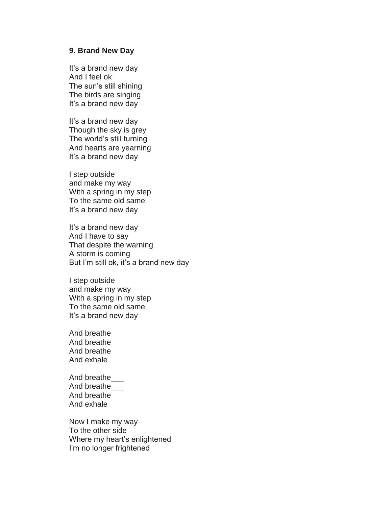## **9. Brand New Day**

It's a brand new day And I feel ok The sun's still shining The birds are singing It's a brand new day

It's a brand new day Though the sky is grey The world's still turning And hearts are yearning It's a brand new day

I step outside and make my way With a spring in my step To the same old same It's a brand new day

It's a brand new day And I have to say That despite the warning A storm is coming But I'm still ok, it's a brand new day

I step outside and make my way With a spring in my step To the same old same It's a brand new day

And breathe And breathe And breathe And exhale

And breathe\_\_\_ And breathe\_\_\_ And breathe And exhale

Now I make my way To the other side Where my heart's enlightened I'm no longer frightened